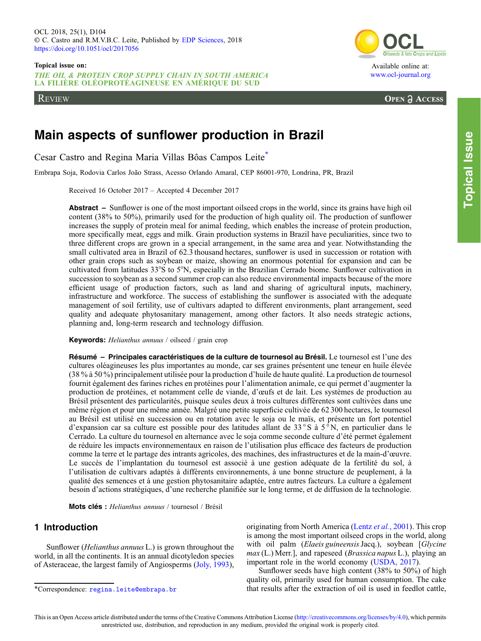THE OIL & PROTEIN CROP SUPPLY CHAIN IN SOUTH AMERICA LA FILIÈRE OLÉOPROTÉAGINEUSE EN AMÉRIQUE DU SUD

REVIEW



[www.ocl-journal.org](https://www.ocl-journal.org)

**OPEN A ACCESS** 

# Main aspects of sunflower production in Brazil

Cesar Castro and Regina Maria Villas Bôas Campos Leite\*

Embrapa Soja, Rodovia Carlos João Strass, Acesso Orlando Amaral, CEP 86001-970, Londrina, PR, Brazil

Received 16 October 2017 – Accepted 4 December 2017

Abstract – Sunflower is one of the most important oilseed crops in the world, since its grains have high oil content (38% to 50%), primarily used for the production of high quality oil. The production of sunflower increases the supply of protein meal for animal feeding, which enables the increase of protein production, more specifically meat, eggs and milk. Grain production systems in Brazil have peculiarities, since two to three different crops are grown in a special arrangement, in the same area and year. Notwithstanding the small cultivated area in Brazil of 62.3 thousand hectares, sunflower is used in succession or rotation with other grain crops such as soybean or maize, showing an enormous potential for expansion and can be cultivated from latitudes 33°S to 5°N, especially in the Brazilian Cerrado biome. Sunflower cultivation in succession to soybean as a second summer crop can also reduce environmental impacts because of the more efficient usage of production factors, such as land and sharing of agricultural inputs, machinery, infrastructure and workforce. The success of establishing the sunflower is associated with the adequate management of soil fertility, use of cultivars adapted to different environments, plant arrangement, seed quality and adequate phytosanitary management, among other factors. It also needs strategic actions, planning and, long-term research and technology diffusion.

Keywords: Helianthus annuus / oilseed / grain crop

Résumé – Principales caractéristiques de la culture de tournesol au Brésil. Le tournesol est l'une des cultures oléagineuses les plus importantes au monde, car ses graines présentent une teneur en huile élevée (38 % à 50 %) principalement utilisée pour la production d'huile de haute qualité. La production de tournesol fournit également des farines riches en protéines pour l'alimentation animale, ce qui permet d'augmenter la production de protéines, et notamment celle de viande, d'œufs et de lait. Les systèmes de production au Brésil présentent des particularités, puisque seules deux à trois cultures différentes sont cultivées dans une même région et pour une même année. Malgré une petite superficie cultivée de 62 300 hectares, le tournesol au Brésil est utilisé en succession ou en rotation avec le soja ou le maïs, et présente un fort potentiel d'expansion car sa culture est possible pour des latitudes allant de 33°S à 5<sup> $\degree$ </sup>N, en particulier dans le Cerrado. La culture du tournesol en alternance avec le soja comme seconde culture d'été permet également de réduire les impacts environnementaux en raison de l'utilisation plus efficace des facteurs de production comme la terre et le partage des intrants agricoles, des machines, des infrastructures et de la main-d'œuvre. Le succès de l'implantation du tournesol est associé à une gestion adéquate de la fertilité du sol, à l'utilisation de cultivars adaptés à différents environnements, à une bonne structure de peuplement, à la qualité des semences et à une gestion phytosanitaire adaptée, entre autres facteurs. La culture a également besoin d'actions stratégiques, d'une recherche planifiée sur le long terme, et de diffusion de la technologie.

Mots clés : Helianthus annuus / tournesol / Brésil

# 1 Introduction

Sunflower (Helianthus annuus L.) is grown throughout the world, in all the continents. It is an annual dicotyledon species of Asteraceae, the largest family of Angiosperms [\(Joly, 1993](#page-9-0)), originating from North America (Lentz et al.[, 2001](#page-10-0)). This crop is among the most important oilseed crops in the world, along with oil palm (Elaeis guineensis Jacq.), soybean [Glycine]  $max(L)$  Merr.], and rapeseed (*Brassica napus* L.), playing an important role in the world economy ([USDA, 2017](#page-10-0)).

Sunflower seeds have high content (38% to 50%) of high quality oil, primarily used for human consumption. The cake that results after the extraction of oil is used in feedlot cattle,

<sup>\*</sup>Correspondence: [regina.leite@embrapa.br](mailto:regina.leite@embrapa.br)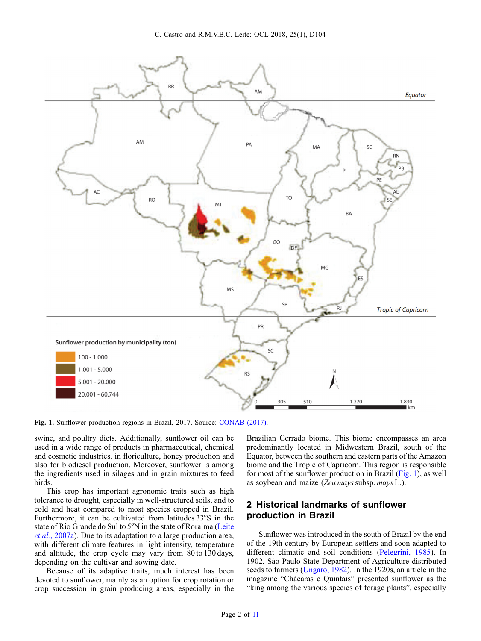<span id="page-1-0"></span>

Fig. 1. Sunflower production regions in Brazil, 2017. Source: [CONAB \(2017\).](#page-9-0)

swine, and poultry diets. Additionally, sunflower oil can be used in a wide range of products in pharmaceutical, chemical and cosmetic industries, in floriculture, honey production and also for biodiesel production. Moreover, sunflower is among the ingredients used in silages and in grain mixtures to feed birds.

This crop has important agronomic traits such as high tolerance to drought, especially in well-structured soils, and to cold and heat compared to most species cropped in Brazil. Furthermore, it can be cultivated from latitudes 33°S in the state of Rio Grande do Sul to 5°N in the state of Roraima [\(Leite](#page-10-0) et al.[, 2007a\)](#page-10-0). Due to its adaptation to a large production area, with different climate features in light intensity, temperature and altitude, the crop cycle may vary from 80 to 130 days, depending on the cultivar and sowing date.

Because of its adaptive traits, much interest has been devoted to sunflower, mainly as an option for crop rotation or crop succession in grain producing areas, especially in the Brazilian Cerrado biome. This biome encompasses an area predominantly located in Midwestern Brazil, south of the Equator, between the southern and eastern parts of the Amazon biome and the Tropic of Capricorn. This region is responsible for most of the sunflower production in Brazil (Fig. 1), as well as soybean and maize (Zea mays subsp. mays L.).

# 2 Historical landmarks of sunflower production in Brazil

Sunflower was introduced in the south of Brazil by the end of the 19th century by European settlers and soon adapted to different climatic and soil conditions [\(Pelegrini, 1985\)](#page-10-0). In 1902, São Paulo State Department of Agriculture distributed seeds to farmers [\(Ungaro, 1982\)](#page-10-0). In the 1920s, an article in the magazine "Chácaras e Quintais" presented sunflower as the "king among the various species of forage plants", especially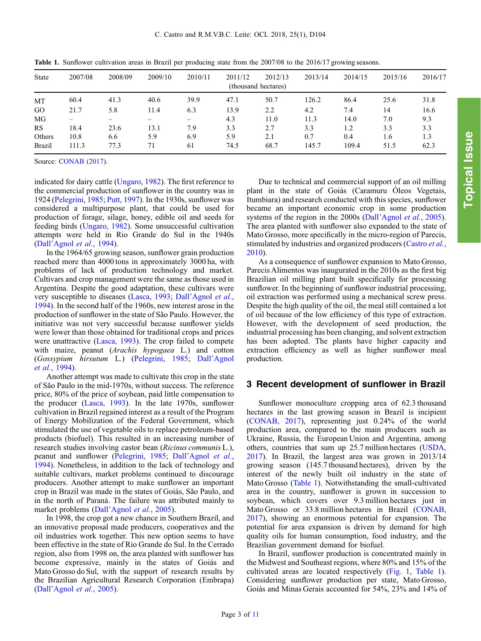| <b>State</b>  | 2007/08 | 2008/09 | 2009/10 | 2010/11 | 2011/12 | 2012/13<br>(thousand hectares) | 2013/14 | 2014/15 | 2015/16 | 2016/17 |
|---------------|---------|---------|---------|---------|---------|--------------------------------|---------|---------|---------|---------|
| MT            | 60.4    | 41.3    | 40.6    | 39.9    | 47.1    | 50.7                           | 126.2   | 86.4    | 25.6    | 31.8    |
| GO            | 21.7    | 5.8     | 11.4    | 6.3     | 13.9    | 2.2                            | 4.2     | 7.4     | 14      | 16.6    |
| MG            |         |         |         |         | 4.3     | 11.0                           | 11.3    | 14.0    | 7.0     | 9.3     |
| <b>RS</b>     | 18.4    | 23.6    | 13.1    | 7.9     | 3.3     | 2.7                            | 3.3     | 1.2     | 3.3     | 3.3     |
| Others        | 10.8    | 6.6     | 5.9     | 6.9     | 5.9     | 2.1                            | 0.7     | 0.4     | 1.6     | 1.3     |
| <b>Brazil</b> | 111.3   | 77.3    | 71      | 61      | 74.5    | 68.7                           | 145.7   | 109.4   | 51.5    | 62.3    |

Table 1. Sunflower cultivation areas in Brazil per producing state from the 2007/08 to the 2016/17 growing seasons.

Source: [CONAB \(2017\)](#page-9-0).

indicated for dairy cattle ([Ungaro, 1982](#page-10-0)). The first reference to the commercial production of sunflower in the country was in 1924 ([Pelegrini, 1985;](#page-10-0) [Putt, 1997\)](#page-10-0). In the 1930s, sunflower was considered a multipurpose plant, that could be used for production of forage, silage, honey, edible oil and seeds for feeding birds [\(Ungaro, 1982\)](#page-10-0). Some unsuccessful cultivation attempts were held in Rio Grande do Sul in the 1940s (Dall'Agnol et al.[, 1994\)](#page-9-0).

In the 1964/65 growing season, sunflower grain production reached more than 4000 tons in approximately 3000 ha, with problems of lack of production technology and market. Cultivars and crop management were the same as those used in Argentina. Despite the good adaptation, these cultivars were very susceptible to diseases [\(Lasca, 1993](#page-9-0); Dall'[Agnol](#page-9-0) et al., [1994](#page-9-0)). In the second half of the 1960s, new interest arose in the production of sunflower in the state of São Paulo. However, the initiative was not very successful because sunflower yields were lower than those obtained for traditional crops and prices were unattractive [\(Lasca, 1993\)](#page-9-0). The crop failed to compete with maize, peanut (Arachis hypogaea L.) and cotton (Gossypium hirsutum L.) [\(Pelegrini, 1985](#page-10-0); Dall'[Agnol](#page-9-0) et al.[, 1994](#page-9-0)).

Another attempt was made to cultivate this crop in the state of São Paulo in the mid-1970s, without success. The reference price, 80% of the price of soybean, paid little compensation to the producer ([Lasca, 1993\)](#page-9-0). In the late 1970s, sunflower cultivation in Brazil regained interest as a result of the Program of Energy Mobilization of the Federal Government, which stimulated the use of vegetable oils to replace petroleum-based products (biofuel). This resulted in an increasing number of research studies involving castor bean (Ricinus communis L.), peanut and sunflower [\(Pelegrini, 1985;](#page-10-0) Dall'[Agnol](#page-9-0) et al., [1994](#page-9-0)). Nonetheless, in addition to the lack of technology and suitable cultivars, market problems continued to discourage producers. Another attempt to make sunflower an important crop in Brazil was made in the states of Goiás, São Paulo, and in the north of Paraná. The failure was attributed mainly to market problems (Dall'Agnol et al.[, 2005](#page-9-0)).

In 1998, the crop got a new chance in Southern Brazil, and an innovative proposal made producers, cooperatives and the oil industries work together. This new option seems to have been effective in the state of Rio Grande do Sul. In the Cerrado region, also from 1998 on, the area planted with sunflower has become expressive, mainly in the states of Goiás and Mato Grosso do Sul, with the support of research results by the Brazilian Agricultural Research Corporation (Embrapa) (Dall'Agnol et al.[, 2005\)](#page-9-0).

Due to technical and commercial support of an oil milling plant in the state of Goiás (Caramuru Óleos Vegetais, Itumbiara) and research conducted with this species, sunflower became an important economic crop in some production systems of the region in the 2000s (Dall'Agnol et al.[, 2005\)](#page-9-0). The area planted with sunflower also expanded to the state of Mato Grosso, more specifically in the micro-region of Parecis, stimulated by industries and organized producers [\(Castro](#page-9-0) et al., [2010](#page-9-0)).

As a consequence of sunflower expansion to Mato Grosso, Parecis Alimentos was inaugurated in the 2010s as the first big Brazilian oil milling plant built specifically for processing sunflower. In the beginning of sunflower industrial processing, oil extraction was performed using a mechanical screw press. Despite the high quality of the oil, the meal still contained a lot of oil because of the low efficiency of this type of extraction. However, with the development of seed production, the industrial processing has been changing, and solvent extraction has been adopted. The plants have higher capacity and extraction efficiency as well as higher sunflower meal production.

### 3 Recent development of sunflower in Brazil

Sunflower monoculture cropping area of 62.3 thousand hectares in the last growing season in Brazil is incipient ([CONAB, 2017\)](#page-9-0), representing just 0.24% of the world production area, compared to the main producers such as Ukraine, Russia, the European Union and Argentina, among others, countries that sum up 25.7 million hectares [\(USDA,](#page-10-0) [2017](#page-10-0)). In Brazil, the largest area was grown in 2013/14 growing season (145.7 thousand hectares), driven by the interest of the newly built oil industry in the state of Mato Grosso (Table 1). Notwithstanding the small-cultivated area in the country, sunflower is grown in succession to soybean, which covers over 9.3 million hectares just in Mato Grosso or 33.8 million hectares in Brazil [\(CONAB,](#page-9-0) [2017](#page-9-0)), showing an enormous potential for expansion. The potential for area expansion is driven by demand for high quality oils for human consumption, food industry, and the Brazilian government demand for biofuel.

In Brazil, sunflower production is concentrated mainly in the Midwest and Southeast regions, where 80% and 15% of the cultivated areas are located respectively ([Fig. 1,](#page-1-0) Table 1). Considering sunflower production per state, Mato Grosso, Goiás and Minas Gerais accounted for 54%, 23% and 14% of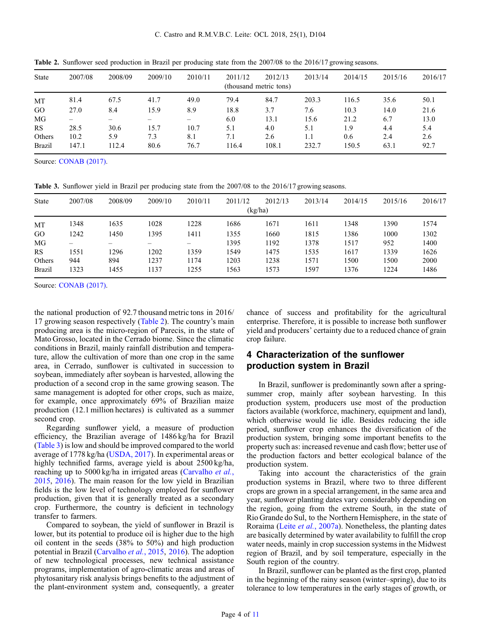| <b>State</b>  | 2007/08                | 2008/09 | 2009/10 | 2010/11 | 2011/12 | 2012/13 | 2013/14 | 2014/15 | 2015/16 | 2016/17 |  |  |
|---------------|------------------------|---------|---------|---------|---------|---------|---------|---------|---------|---------|--|--|
|               | (thousand metric tons) |         |         |         |         |         |         |         |         |         |  |  |
| MT            | 81.4                   | 67.5    | 41.7    | 49.0    | 79.4    | 84.7    | 203.3   | 116.5   | 35.6    | 50.1    |  |  |
| GO            | 27.0                   | 8.4     | 15.9    | 8.9     | 18.8    | 3.7     | 7.6     | 10.3    | 14.0    | 21.6    |  |  |
| MG            |                        |         |         |         | 6.0     | 13.1    | 15.6    | 21.2    | 6.7     | 13.0    |  |  |
| RS            | 28.5                   | 30.6    | 15.7    | 10.7    | 5.1     | 4.0     | 5.1     | 1.9     | 4.4     | 5.4     |  |  |
| Others        | 10.2                   | 5.9     | 7.3     | 8.1     | 7.1     | 2.6     | 1.1     | 0.6     | 2.4     | 2.6     |  |  |
| <b>Brazil</b> | 147.1                  | 112.4   | 80.6    | 76.7    | 116.4   | 108.1   | 232.7   | 150.5   | 63.1    | 92.7    |  |  |

Table 2. Sunflower seed production in Brazil per producing state from the 2007/08 to the 2016/17 growing seasons.

Source: [CONAB \(2017\)](#page-9-0).

Table 3. Sunflower yield in Brazil per producing state from the 2007/08 to the 2016/17 growing seasons.

| <b>State</b>  | 2007/08 | 2008/09 | 2009/10 | 2010/11 | 2011/12 | 2012/13 | 2013/14 | 2014/15 | 2015/16 | 2016/17 |  |  |  |
|---------------|---------|---------|---------|---------|---------|---------|---------|---------|---------|---------|--|--|--|
|               | (kg/ha) |         |         |         |         |         |         |         |         |         |  |  |  |
| MT            | 1348    | 1635    | 1028    | 1228    | 1686    | 1671    | 1611    | 1348    | 1390    | 1574    |  |  |  |
| GO            | 1242    | 1450    | 1395    | 1411    | 1355    | 1660    | 1815    | 1386    | 1000    | 1302    |  |  |  |
| MG            |         |         |         |         | 1395    | 1192    | 1378    | 1517    | 952     | 1400    |  |  |  |
| RS            | 1551    | 1296    | 1202    | 1359    | 1549    | 1475    | 1535    | 1617    | 1339    | 1626    |  |  |  |
| Others        | 944     | 894     | 1237    | 1174    | 1203    | 1238    | 1571    | 1500    | 1500    | 2000    |  |  |  |
| <b>Brazil</b> | 1323    | 1455    | 1137    | 1255    | 1563    | 1573    | 1597    | 1376    | 1224    | 1486    |  |  |  |

Source: [CONAB \(2017\)](#page-9-0).

the national production of 92.7 thousand metric tons in 2016/ 17 growing season respectively (Table 2). The country's main producing area is the micro-region of Parecis, in the state of Mato Grosso, located in the Cerrado biome. Since the climatic conditions in Brazil, mainly rainfall distribution and temperature, allow the cultivation of more than one crop in the same area, in Cerrado, sunflower is cultivated in succession to soybean, immediately after soybean is harvested, allowing the production of a second crop in the same growing season. The same management is adopted for other crops, such as maize, for example, once approximately 69% of Brazilian maize production (12.1 million hectares) is cultivated as a summer second crop.

Regarding sunflower yield, a measure of production efficiency, the Brazilian average of 1486 kg/ha for Brazil (Table 3) is low and should be improved compared to the world average of 1778 kg/ha [\(USDA, 2017\)](#page-10-0). In experimental areas or highly technified farms, average yield is about 2500 kg/ha, reaching up to 5000 kg/ha in irrigated areas ([Carvalho](#page-9-0) et al., [2015](#page-9-0), [2016](#page-9-0)). The main reason for the low yield in Brazilian fields is the low level of technology employed for sunflower production, given that it is generally treated as a secondary crop. Furthermore, the country is deficient in technology transfer to farmers.

Compared to soybean, the yield of sunflower in Brazil is lower, but its potential to produce oil is higher due to the high oil content in the seeds (38% to 50%) and high production potential in Brazil ([Carvalho](#page-9-0) et al., 2015, [2016\)](#page-9-0). The adoption of new technological processes, new technical assistance programs, implementation of agro-climatic areas and areas of phytosanitary risk analysis brings benefits to the adjustment of the plant-environment system and, consequently, a greater chance of success and profitability for the agricultural enterprise. Therefore, it is possible to increase both sunflower yield and producers' certainty due to a reduced chance of grain crop failure.

# 4 Characterization of the sunflower production system in Brazil

In Brazil, sunflower is predominantly sown after a springsummer crop, mainly after soybean harvesting. In this production system, producers use most of the production factors available (workforce, machinery, equipment and land), which otherwise would lie idle. Besides reducing the idle period, sunflower crop enhances the diversification of the production system, bringing some important benefits to the property such as: increased revenue and cash flow; better use of the production factors and better ecological balance of the production system.

Taking into account the characteristics of the grain production systems in Brazil, where two to three different crops are grown in a special arrangement, in the same area and year, sunflower planting dates vary considerably depending on the region, going from the extreme South, in the state of Rio Grande do Sul, to the Northern Hemisphere, in the state of Roraima (Leite et al.[, 2007a](#page-10-0)). Nonetheless, the planting dates are basically determined by water availability to fulfill the crop water needs, mainly in crop succession systems in the Midwest region of Brazil, and by soil temperature, especially in the South region of the country.

In Brazil, sunflower can be planted as the first crop, planted in the beginning of the rainy season (winter–spring), due to its tolerance to low temperatures in the early stages of growth, or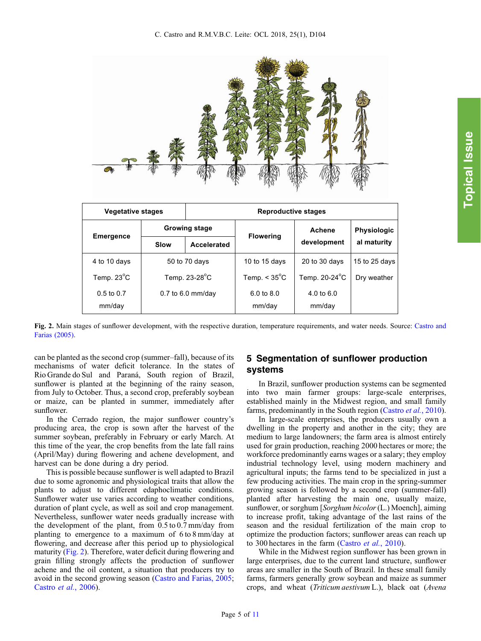| <b>Vegetative stages</b> |                      | <b>Reproductive stages</b> |                        |                      |               |  |  |  |  |
|--------------------------|----------------------|----------------------------|------------------------|----------------------|---------------|--|--|--|--|
|                          | <b>Growing stage</b> |                            |                        | Achene               | Physiologic   |  |  |  |  |
| <b>Emergence</b>         | Slow                 | Accelerated                | <b>Flowering</b>       | development          | al maturity   |  |  |  |  |
| 4 to 10 days             | 50 to 70 days        |                            | 10 to 15 days          | 20 to 30 days        | 15 to 25 days |  |  |  |  |
| Temp. 23°C               | Temp. 23-28°C        |                            | Temp. $< 35^{\circ}$ C | Temp. 20-24°C        | Dry weather   |  |  |  |  |
| $0.5$ to $0.7$<br>mm/day |                      | 0.7 to 6.0 mm/day          | 6.0 to 8.0<br>mm/day   | 4.0 to 6.0<br>mm/day |               |  |  |  |  |

Fig. 2. Main stages of sunflower development, with the respective duration, temperature requirements, and water needs. Source: [Castro and](#page-9-0) [Farias \(2005\)](#page-9-0).

can be planted as the second crop (summer–fall), because of its mechanisms of water deficit tolerance. In the states of Rio Grande do Sul and Paraná, South region of Brazil, sunflower is planted at the beginning of the rainy season, from July to October. Thus, a second crop, preferably soybean or maize, can be planted in summer, immediately after sunflower.

In the Cerrado region, the major sunflower country's producing area, the crop is sown after the harvest of the summer soybean, preferably in February or early March. At this time of the year, the crop benefits from the late fall rains (April/May) during flowering and achene development, and harvest can be done during a dry period.

This is possible because sunflower is well adapted to Brazil due to some agronomic and physiological traits that allow the plants to adjust to different edaphoclimatic conditions. Sunflower water use varies according to weather conditions, duration of plant cycle, as well as soil and crop management. Nevertheless, sunflower water needs gradually increase with the development of the plant, from 0.5 to 0.7 mm/day from planting to emergence to a maximum of 6 to 8 mm/day at flowering, and decrease after this period up to physiological maturity (Fig. 2). Therefore, water deficit during flowering and grain filling strongly affects the production of sunflower achene and the oil content, a situation that producers try to avoid in the second growing season ([Castro and Farias, 2005](#page-9-0); [Castro](#page-9-0) et al., 2006).

# 5 Segmentation of sunflower production systems

In Brazil, sunflower production systems can be segmented into two main farmer groups: large-scale enterprises, established mainly in the Midwest region, and small family farms, predominantly in the South region [\(Castro](#page-9-0) et al., 2010).

In large-scale enterprises, the producers usually own a dwelling in the property and another in the city; they are medium to large landowners; the farm area is almost entirely used for grain production, reaching 2000 hectares or more; the workforce predominantly earns wages or a salary; they employ industrial technology level, using modern machinery and agricultural inputs; the farms tend to be specialized in just a few producing activities. The main crop in the spring-summer growing season is followed by a second crop (summer-fall) planted after harvesting the main one, usually maize, sunflower, or sorghum [Sorghum bicolor(L.) Moench], aiming to increase profit, taking advantage of the last rains of the season and the residual fertilization of the main crop to optimize the production factors; sunflower areas can reach up to 300 hectares in the farm [\(Castro](#page-9-0) et al., 2010).

While in the Midwest region sunflower has been grown in large enterprises, due to the current land structure, sunflower areas are smaller in the South of Brazil. In these small family farms, farmers generally grow soybean and maize as summer crops, and wheat (Triticum aestivum L.), black oat (Avena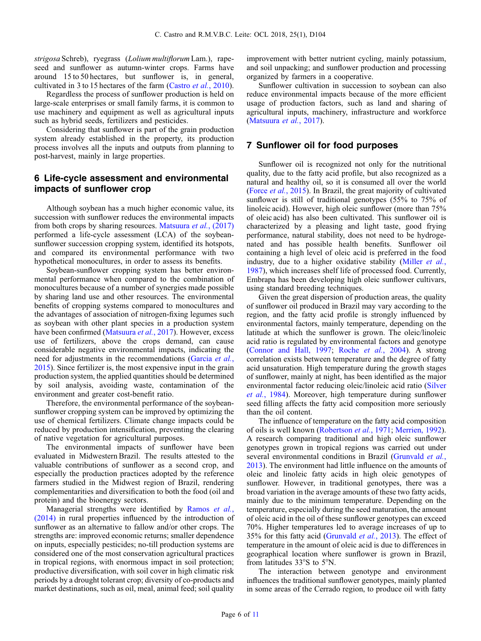strigosa Schreb), ryegrass (Lolium multiflorum Lam.), rapeseed and sunflower as autumn-winter crops. Farms have around 15 to 50 hectares, but sunflower is, in general, cultivated in 3 to 15 hectares of the farm ([Castro](#page-9-0) et al., 2010).

Regardless the process of sunflower production is held on large-scale enterprises or small family farms, it is common to use machinery and equipment as well as agricultural inputs such as hybrid seeds, fertilizers and pesticides.

Considering that sunflower is part of the grain production system already established in the property, its production process involves all the inputs and outputs from planning to post-harvest, mainly in large properties.

# 6 Life-cycle assessment and environmental impacts of sunflower crop

Although soybean has a much higher economic value, its succession with sunflower reduces the environmental impacts from both crops by sharing resources. [Matsuura](#page-10-0) et al., (2017) performed a life-cycle assessment (LCA) of the soybeansunflower succession cropping system, identified its hotspots, and compared its environmental performance with two hypothetical monocultures, in order to assess its benefits.

Soybean-sunflower cropping system has better environmental performance when compared to the combination of monocultures because of a number of synergies made possible by sharing land use and other resources. The environmental benefits of cropping systems compared to monocultures and the advantages of association of nitrogen-fixing legumes such as soybean with other plant species in a production system have been confirmed ([Matsuura](#page-10-0) et al., 2017). However, excess use of fertilizers, above the crops demand, can cause considerable negative environmental impacts, indicating the need for adjustments in the recommendations [\(Garcia](#page-9-0) et al., [2015](#page-9-0)). Since fertilizer is, the most expensive input in the grain production system, the applied quantities should be determined by soil analysis, avoiding waste, contamination of the environment and greater cost-benefit ratio.

Therefore, the environmental performance of the soybeansunflower cropping system can be improved by optimizing the use of chemical fertilizers. Climate change impacts could be reduced by production intensification, preventing the clearing of native vegetation for agricultural purposes.

The environmental impacts of sunflower have been evaluated in Midwestern Brazil. The results attested to the valuable contributions of sunflower as a second crop, and especially the production practices adopted by the reference farmers studied in the Midwest region of Brazil, rendering complementarities and diversification to both the food (oil and protein) and the bioenergy sectors.

Managerial strengths were identified by [Ramos](#page-10-0) et al., [\(2014\)](#page-10-0) in rural properties influenced by the introduction of sunflower as an alternative to fallow and/or other crops. The strengths are: improved economic returns; smaller dependence on inputs, especially pesticides; no-till production systems are considered one of the most conservation agricultural practices in tropical regions, with enormous impact in soil protection; productive diversification, with soil cover in high climatic risk periods by a drought tolerant crop; diversity of co-products and market destinations, such as oil, meal, animal feed; soil quality improvement with better nutrient cycling, mainly potassium, and soil unpacking; and sunflower production and processing organized by farmers in a cooperative.

Sunflower cultivation in succession to soybean can also reduce environmental impacts because of the more efficient usage of production factors, such as land and sharing of agricultural inputs, machinery, infrastructure and workforce ([Matsuura](#page-10-0) et al., 2017).

# 7 Sunflower oil for food purposes

Sunflower oil is recognized not only for the nutritional quality, due to the fatty acid profile, but also recognized as a natural and healthy oil, so it is consumed all over the world (Force et al.[, 2015](#page-9-0)). In Brazil, the great majority of cultivated sunflower is still of traditional genotypes (55% to 75% of linoleic acid). However, high oleic sunflower (more than 75% of oleic acid) has also been cultivated. This sunflower oil is characterized by a pleasing and light taste, good frying performance, natural stability, does not need to be hydrogenated and has possible health benefits. Sunflower oil containing a high level of oleic acid is preferred in the food industry, due to a higher oxidative stability ([Miller](#page-10-0) *et al.*, [1987](#page-10-0)), which increases shelf life of processed food. Currently, Embrapa has been developing high oleic sunflower cultivars, using standard breeding techniques.

Given the great dispersion of production areas, the quality of sunflower oil produced in Brazil may vary according to the region, and the fatty acid profile is strongly influenced by environmental factors, mainly temperature, depending on the latitude at which the sunflower is grown. The oleic/linoleic acid ratio is regulated by environmental factors and genotype ([Connor and Hall, 1997;](#page-9-0) Roche et al.[, 2004\)](#page-10-0). A strong correlation exists between temperature and the degree of fatty acid unsaturation. High temperature during the growth stages of sunflower, mainly at night, has been identified as the major environmental factor reducing oleic/linoleic acid ratio ([Silver](#page-10-0) et al.[, 1984\)](#page-10-0). Moreover, high temperature during sunflower seed filling affects the fatty acid composition more seriously than the oil content.

The influence of temperature on the fatty acid composition of oils is well known ([Robertson](#page-10-0) et al., 1971; [Merrien, 1992\)](#page-10-0). A research comparing traditional and high oleic sunflower genotypes grown in tropical regions was carried out under several environmental conditions in Brazil [\(Grunvald](#page-9-0) *et al.*, [2013](#page-9-0)). The environment had little influence on the amounts of oleic and linoleic fatty acids in high oleic genotypes of sunflower. However, in traditional genotypes, there was a broad variation in the average amounts of these two fatty acids, mainly due to the minimum temperature. Depending on the temperature, especially during the seed maturation, the amount of oleic acid in the oil of these sunflower genotypes can exceed 70%. Higher temperatures led to average increases of up to 35% for this fatty acid ([Grunvald](#page-9-0) et al., 2013). The effect of temperature in the amount of oleic acid is due to differences in geographical location where sunflower is grown in Brazil, from latitudes 33°S to 5°N.

The interaction between genotype and environment influences the traditional sunflower genotypes, mainly planted in some areas of the Cerrado region, to produce oil with fatty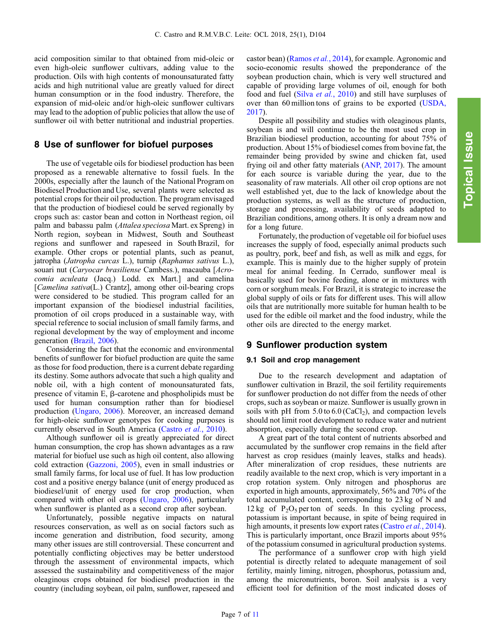acid composition similar to that obtained from mid-oleic or even high-oleic sunflower cultivars, adding value to the production. Oils with high contents of monounsaturated fatty acids and high nutritional value are greatly valued for direct human consumption or in the food industry. Therefore, the expansion of mid-oleic and/or high-oleic sunflower cultivars may lead to the adoption of public policies that allow the use of sunflower oil with better nutritional and industrial properties.

# 8 Use of sunflower for biofuel purposes

The use of vegetable oils for biodiesel production has been proposed as a renewable alternative to fossil fuels. In the 2000s, especially after the launch of the National Program on Biodiesel Production and Use, several plants were selected as potential crops for their oil production. The program envisaged that the production of biodiesel could be served regionally by crops such as: castor bean and cotton in Northeast region, oil palm and babassu palm (Attalea speciosa Mart. ex Spreng) in North region, soybean in Midwest, South and Southeast regions and sunflower and rapeseed in South Brazil, for example. Other crops or potential plants, such as peanut, jatropha (Jatropha curcas L.), turnip (Raphanus sativus L.), souari nut (Caryocar brasiliense Cambess.), macauba [Acrocomia aculeata (Jacq.) Lodd. ex Mart.] and camelina [*Camelina sativa*(L.) Crantz], among other oil-bearing crops were considered to be studied. This program called for an important expansion of the biodiesel industrial facilities, promotion of oil crops produced in a sustainable way, with special reference to social inclusion of small family farms, and regional development by the way of employment and income generation [\(Brazil, 2006](#page-9-0)).

Considering the fact that the economic and environmental benefits of sunflower for biofuel production are quite the same as those for food production, there is a current debate regarding its destiny. Some authors advocate that such a high quality and noble oil, with a high content of monounsaturated fats, presence of vitamin  $E$ ,  $\beta$ -carotene and phospholipids must be used for human consumption rather than for biodiesel production ([Ungaro, 2006\)](#page-10-0). Moreover, an increased demand for high-oleic sunflower genotypes for cooking purposes is currently observed in South America ([Castro](#page-9-0) et al., 2010).

Although sunflower oil is greatly appreciated for direct human consumption, the crop has shown advantages as a raw material for biofuel use such as high oil content, also allowing cold extraction [\(Gazzoni, 2005\)](#page-9-0), even in small industries or small family farms, for local use of fuel. It has low production cost and a positive energy balance (unit of energy produced as biodiesel/unit of energy used for crop production, when compared with other oil crops [\(Ungaro, 2006\)](#page-10-0), particularly when sunflower is planted as a second crop after soybean.

Unfortunately, possible negative impacts on natural resources conservation, as well as on social factors such as income generation and distribution, food security, among many other issues are still controversial. These concurrent and potentially conflicting objectives may be better understood through the assessment of environmental impacts, which assessed the sustainability and competitiveness of the major oleaginous crops obtained for biodiesel production in the country (including soybean, oil palm, sunflower, rapeseed and castor bean) [\(Ramos](#page-10-0) et al., 2014), for example. Agronomic and socio-economic results showed the preponderance of the soybean production chain, which is very well structured and capable of providing large volumes of oil, enough for both food and fuel (Silva et al.[, 2010](#page-10-0)) and still have surpluses of over than 60 million tons of grains to be exported [\(USDA,](#page-10-0) [2017](#page-10-0)).

Despite all possibility and studies with oleaginous plants, soybean is and will continue to be the most used crop in Brazilian biodiesel production, accounting for about 75% of production. About 15% of biodiesel comes from bovine fat, the remainder being provided by swine and chicken fat, used frying oil and other fatty materials [\(ANP, 2017\)](#page-9-0). The amount for each source is variable during the year, due to the seasonality of raw materials. All other oil crop options are not well established yet, due to the lack of knowledge about the production systems, as well as the structure of production, storage and processing, availability of seeds adapted to Brazilian conditions, among others. It is only a dream now and for a long future.

Fortunately, the production of vegetable oil for biofuel uses increases the supply of food, especially animal products such as poultry, pork, beef and fish, as well as milk and eggs, for example. This is mainly due to the higher supply of protein meal for animal feeding. In Cerrado, sunflower meal is basically used for bovine feeding, alone or in mixtures with corn or sorghum meals. For Brazil, it is strategic to increase the global supply of oils or fats for different uses. This will allow oils that are nutritionally more suitable for human health to be used for the edible oil market and the food industry, while the other oils are directed to the energy market.

#### 9 Sunflower production system

#### 9.1 Soil and crop management

Due to the research development and adaptation of sunflower cultivation in Brazil, the soil fertility requirements for sunflower production do not differ from the needs of other crops, such as soybean or maize. Sunflower is usually grown in soils with pH from  $5.0$  to  $6.0$  (CaCl<sub>2</sub>), and compaction levels should not limit root development to reduce water and nutrient absorption, especially during the second crop.

A great part of the total content of nutrients absorbed and accumulated by the sunflower crop remains in the field after harvest as crop residues (mainly leaves, stalks and heads). After mineralization of crop residues, these nutrients are readily available to the next crop, which is very important in a crop rotation system. Only nitrogen and phosphorus are exported in high amounts, approximately, 56% and 70% of the total accumulated content, corresponding to 23 kg of N and  $12 \text{ kg}$  of P<sub>2</sub>O<sub>5</sub> per ton of seeds. In this cycling process, potassium is important because, in spite of being required in high amounts, it presents low export rates ([Castro](#page-9-0) et al., 2014). This is particularly important, once Brazil imports about 95% of the potassium consumed in agricultural production systems.

The performance of a sunflower crop with high yield potential is directly related to adequate management of soil fertility, mainly liming, nitrogen, phosphorus, potassium and, among the micronutrients, boron. Soil analysis is a very efficient tool for definition of the most indicated doses of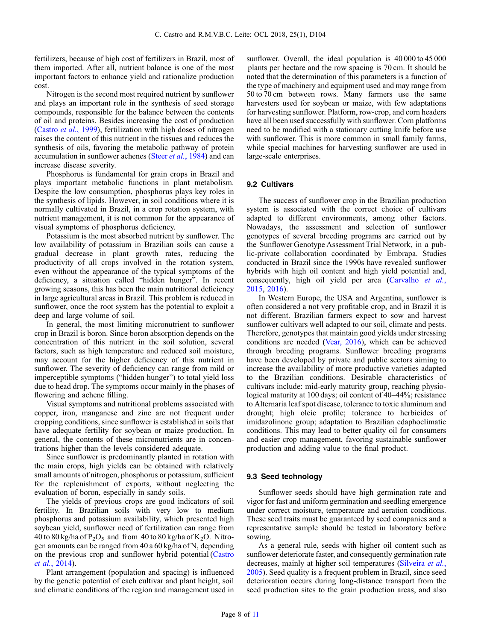fertilizers, because of high cost of fertilizers in Brazil, most of them imported. After all, nutrient balance is one of the most important factors to enhance yield and rationalize production cost.

Nitrogen is the second most required nutrient by sunflower and plays an important role in the synthesis of seed storage compounds, responsible for the balance between the contents of oil and proteins. Besides increasing the cost of production ([Castro](#page-9-0) et al., 1999), fertilization with high doses of nitrogen raises the content of this nutrient in the tissues and reduces the synthesis of oils, favoring the metabolic pathway of protein accumulation in sunflower achenes (Steer et al.[, 1984\)](#page-10-0) and can increase disease severity.

Phosphorus is fundamental for grain crops in Brazil and plays important metabolic functions in plant metabolism. Despite the low consumption, phosphorus plays key roles in the synthesis of lipids. However, in soil conditions where it is normally cultivated in Brazil, in a crop rotation system, with nutrient management, it is not common for the appearance of visual symptoms of phosphorus deficiency.

Potassium is the most absorbed nutrient by sunflower. The low availability of potassium in Brazilian soils can cause a gradual decrease in plant growth rates, reducing the productivity of all crops involved in the rotation system, even without the appearance of the typical symptoms of the deficiency, a situation called "hidden hunger". In recent growing seasons, this has been the main nutritional deficiency in large agricultural areas in Brazil. This problem is reduced in sunflower, once the root system has the potential to exploit a deep and large volume of soil.

In general, the most limiting micronutrient to sunflower crop in Brazil is boron. Since boron absorption depends on the concentration of this nutrient in the soil solution, several factors, such as high temperature and reduced soil moisture, may account for the higher deficiency of this nutrient in sunflower. The severity of deficiency can range from mild or imperceptible symptoms ("hidden hunger") to total yield loss due to head drop. The symptoms occur mainly in the phases of flowering and achene filling.

Visual symptoms and nutritional problems associated with copper, iron, manganese and zinc are not frequent under cropping conditions, since sunflower is established in soils that have adequate fertility for soybean or maize production. In general, the contents of these micronutrients are in concentrations higher than the levels considered adequate.

Since sunflower is predominantly planted in rotation with the main crops, high yields can be obtained with relatively small amounts of nitrogen, phosphorus or potassium, sufficient for the replenishment of exports, without neglecting the evaluation of boron, especially in sandy soils.

The yields of previous crops are good indicators of soil fertility. In Brazilian soils with very low to medium phosphorus and potassium availability, which presented high soybean yield, sunflower need of fertilization can range from 40 to 80 kg/ha of  $P_2O_5$  and from 40 to 80 kg/ha of  $K_2O$ . Nitrogen amounts can be ranged from 40 a 60 kg/ha of N, depending on the previous crop and sunflower hybrid potential ([Castro](#page-9-0) et al.[, 2014](#page-9-0)).

Plant arrangement (population and spacing) is influenced by the genetic potential of each cultivar and plant height, soil and climatic conditions of the region and management used in sunflower. Overall, the ideal population is 40 000 to 45 000 plants per hectare and the row spacing is 70 cm. It should be noted that the determination of this parameters is a function of the type of machinery and equipment used and may range from 50 to 70 cm between rows. Many farmers use the same harvesters used for soybean or maize, with few adaptations for harvesting sunflower. Platform, row-crop, and corn headers have all been used successfully with sunflower. Corn platforms need to be modified with a stationary cutting knife before use with sunflower. This is more common in small family farms, while special machines for harvesting sunflower are used in large-scale enterprises.

#### 9.2 Cultivars

The success of sunflower crop in the Brazilian production system is associated with the correct choice of cultivars adapted to different environments, among other factors. Nowadays, the assessment and selection of sunflower genotypes of several breeding programs are carried out by the Sunflower Genotype Assessment Trial Network, in a public-private collaboration coordinated by Embrapa. Studies conducted in Brazil since the 1990s have revealed sunflower hybrids with high oil content and high yield potential and, consequently, high oil yield per area [\(Carvalho](#page-9-0) et al., [2015](#page-9-0), [2016](#page-9-0)).

In Western Europe, the USA and Argentina, sunflower is often considered a not very profitable crop, and in Brazil it is not different. Brazilian farmers expect to sow and harvest sunflower cultivars well adapted to our soil, climate and pests. Therefore, genotypes that maintain good yields under stressing conditions are needed [\(Vear, 2016\)](#page-10-0), which can be achieved through breeding programs. Sunflower breeding programs have been developed by private and public sectors aiming to increase the availability of more productive varieties adapted to the Brazilian conditions. Desirable characteristics of cultivars include: mid-early maturity group, reaching physiological maturity at 100 days; oil content of 40–44%; resistance to Alternaria leaf spot disease, tolerance to toxic aluminum and drought; high oleic profile; tolerance to herbicides of imidazolinone group; adaptation to Brazilian edaphoclimatic conditions. This may lead to better quality oil for consumers and easier crop management, favoring sustainable sunflower production and adding value to the final product.

#### 9.3 Seed technology

Sunflower seeds should have high germination rate and vigor for fast and uniform germination and seedling emergence under correct moisture, temperature and aeration conditions. These seed traits must be guaranteed by seed companies and a representative sample should be tested in laboratory before sowing.

As a general rule, seeds with higher oil content such as sunflower deteriorate faster, and consequently germination rate decreases, mainly at higher soil temperatures [\(Silveira](#page-10-0) et al., [2005](#page-10-0)). Seed quality is a frequent problem in Brazil, since seed deterioration occurs during long-distance transport from the seed production sites to the grain production areas, and also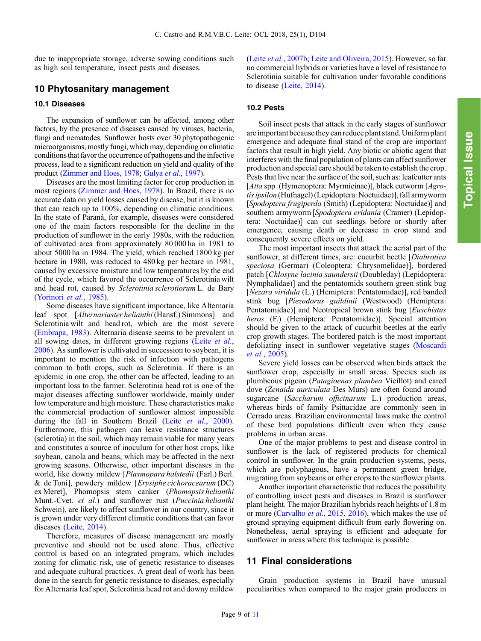due to inappropriate storage, adverse sowing conditions such as high soil temperature, insect pests and diseases.

# 10 Phytosanitary management

#### 10.1 Diseases

The expansion of sunflower can be affected, among other factors, by the presence of diseases caused by viruses, bacteria, fungi and nematodes. Sunflower hosts over 30 phytopathogenic microorganisms, mostly fungi, which may, depending on climatic conditions that favor the occurrence of pathogens and the infective process, lead to a significant reduction on yield and quality of the product ([Zimmer and Hoes, 1978;](#page-10-0) Gulya et al.[, 1997](#page-9-0)).

Diseases are the most limiting factor for crop production in most regions [\(Zimmer and Hoes, 1978](#page-10-0)). In Brazil, there is no accurate data on yield losses caused by disease, but it is known that can reach up to 100%, depending on climatic conditions. In the state of Paraná, for example, diseases were considered one of the main factors responsible for the decline in the production of sunflower in the early 1980s, with the reduction of cultivated area from approximately 80 000 ha in 1981 to about 5000 ha in 1984. The yield, which reached 1800 kg per hectare in 1980, was reduced to 480 kg per hectare in 1981, caused by excessive moisture and low temperatures by the end of the cycle, which favored the occurrence of Sclerotinia wilt and head rot, caused by Sclerotinia sclerotiorum L. de Bary ([Yorinori](#page-10-0) et al., 1985).

Some diseases have significant importance, like Alternaria leaf spot [Alternariaster helianthi (Hansf.) Simmons] and Sclerotinia wilt and head rot, which are the most severe ([Embrapa, 1983](#page-9-0)). Alternaria disease seems to be prevalent in all sowing dates, in different growing regions (Leite [et al.](#page-10-0), [2006](#page-10-0)). As sunflower is cultivated in succession to soybean, it is important to mention the risk of infection with pathogens common to both crops, such as Sclerotinia. If there is an epidemic in one crop, the other can be affected, leading to an important loss to the farmer. Sclerotinia head rot is one of the major diseases affecting sunflower worldwide, mainly under low temperature and high moisture. These characteristics make the commercial production of sunflower almost impossible during the fall in Southern Brazil (Leite et al.[, 2000](#page-10-0)). Furthermore, this pathogen can leave resistance structures (sclerotia) in the soil, which may remain viable for many years and constitutes a source of inoculum for other host crops, like soybean, canola and beans, which may be affected in the next growing seasons. Otherwise, other important diseases in the world, like downy mildew [Plasmopara halstedii (Farl.) Berl. & de Toni], powdery mildew [Erysiphe cichoracearum (DC) ex Meret], Phomopsis stem canker (Phomopsis helianthi Munt.-Cvet. et al.) and sunflower rust (Puccinia helianthi Schwein), are likely to affect sunflower in our country, since it is grown under very different climatic conditions that can favor diseases ([Leite, 2014](#page-9-0)).

Therefore, measures of disease management are mostly preventive and should not be used alone. Thus, effective control is based on an integrated program, which includes zoning for climatic risk, use of genetic resistance to diseases and adequate cultural practices. A great deal of work has been done in the search for genetic resistance to diseases, especially for Alternaria leaf spot, Sclerotinia head rot and downy mildew

(Leite et al.[, 2007b;](#page-10-0) [Leite and Oliveira, 2015\)](#page-9-0). However, so far no commercial hybrids or varieties have a level of resistance to Sclerotinia suitable for cultivation under favorable conditions to disease ([Leite, 2014](#page-9-0)).

#### 10.2 Pests

Soil insect pests that attack in the early stages of sunflower are important because they can reduce plant stand. Uniform plant emergence and adequate final stand of the crop are important factors that result in high yield. Any biotic or abiotic agent that interferes with the final population of plants can affect sunflower production and special care should be taken to establish the crop. Pests that live near the surface of the soil, such as: leafcutter ants [Atta spp. (Hymenoptera: Myrmicinae)], black cutworm [Agrotis ipsilon (Hufnagel) (Lepidoptera: Noctuidae)], fall armyworm [Spodoptera frugiperda (Smith) (Lepidoptera: Noctuidae)] and southern armyworm [Spodoptera eridania (Cramer) (Lepidoptera: Noctuidae)] can cut seedlings before or shortly after emergence, causing death or decrease in crop stand and consequently severe effects on yield.

The most important insects that attack the aerial part of the sunflower, at different times, are: cucurbit beetle [Diabrotica] speciosa (Germar) (Coleoptera: Chrysomelidae)], bordered patch [Chlosyne lacinia saundersii (Doubleday) (Lepidoptera: Nymphalidae)] and the pentatomids southern green stink bug [Nezara viridula (L.) (Hemiptera: Pentatomidae)], red banded stink bug [Piezodorus guildinii (Westwood) (Hemiptera: Pentatomidae)] and Neotropical brown stink bug [Euschistus heros (F.) (Hemiptera: Pentatomidae)]. Special attention should be given to the attack of cucurbit beetles at the early crop growth stages. The bordered patch is the most important defoliating insect in sunflower vegetative stages [\(Moscardi](#page-10-0) et al.[, 2005\)](#page-10-0).

Severe yield losses can be observed when birds attack the sunflower crop, especially in small areas. Species such as plumbeous pigeon (Patagioenas plumbea Vieillot) and eared dove (Zenaida auriculata Des Murs) are often found around sugarcane (Saccharum officinarum L.) production areas, whereas birds of family Psittacidae are commonly seen in Cerrado areas. Brazilian environmental laws make the control of these bird populations difficult even when they cause problems in urban areas.

One of the major problems to pest and disease control in sunflower is the lack of registered products for chemical control in sunflower. In the grain production systems, pests, which are polyphagous, have a permanent green bridge, migrating from soybeans or other crops to the sunflower plants.

Another important characteristic that reduces the possibility of controlling insect pests and diseases in Brazil is sunflower plant height. The major Brazilian hybrids reach heights of 1.8 m or more [\(Carvalho](#page-9-0) et al., 2015, [2016](#page-9-0)), which makes the use of ground spraying equipment difficult from early flowering on. Nonetheless, aerial spraying is efficient and adequate for sunflower in areas where this technique is possible.

# 11 Final considerations

Grain production systems in Brazil have unusual peculiarities when compared to the major grain producers in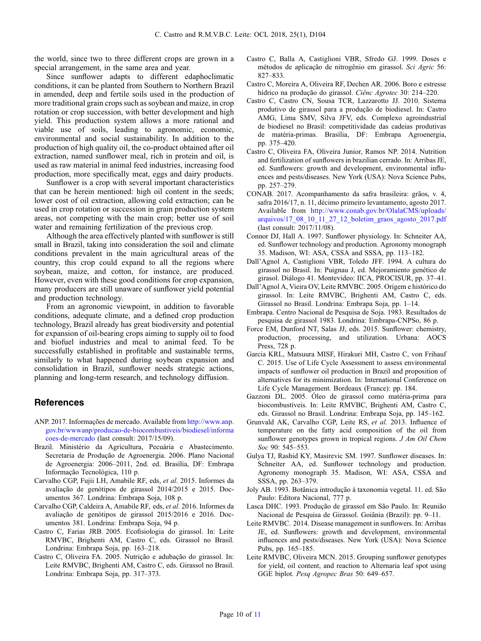<span id="page-9-0"></span>the world, since two to three different crops are grown in a special arrangement, in the same area and year.

Since sunflower adapts to different edaphoclimatic conditions, it can be planted from Southern to Northern Brazil in amended, deep and fertile soils used in the production of more traditional grain crops such as soybean and maize, in crop rotation or crop succession, with better development and high yield. This production system allows a more rational and viable use of soils, leading to agronomic, economic, environmental and social sustainability. In addition to the production of high quality oil, the co-product obtained after oil extraction, named sunflower meal, rich in protein and oil, is used as raw material in animal feed industries, increasing food production, more specifically meat, eggs and dairy products.

Sunflower is a crop with several important characteristics that can be herein mentioned: high oil content in the seeds; lower cost of oil extraction, allowing cold extraction; can be used in crop rotation or succession in grain production system areas, not competing with the main crop; better use of soil water and remaining fertilization of the previous crop.

Although the area effectively planted with sunflower is still small in Brazil, taking into consideration the soil and climate conditions prevalent in the main agricultural areas of the country, this crop could expand to all the regions where soybean, maize, and cotton, for instance, are produced. However, even with these good conditions for crop expansion, many producers are still unaware of sunflower yield potential and production technology.

From an agronomic viewpoint, in addition to favorable conditions, adequate climate, and a defined crop production technology, Brazil already has great biodiversity and potential for expansion of oil-bearing crops aiming to supply oil to food and biofuel industries and meal to animal feed. To be successfully established in profitable and sustainable terms, similarly to what happened during soybean expansion and consolidation in Brazil, sunflower needs strategic actions, planning and long-term research, and technology diffusion.

# References

- ANP. 2017. Informações de mercado. Available from [http://www.anp.](http://www.anp.gov.br/wwwanp/producao-de-biocombustiveis/biodiesel/informacoes-de-mercado) [gov.br/wwwanp/producao-de-biocombustiveis/biodiesel/informa](http://www.anp.gov.br/wwwanp/producao-de-biocombustiveis/biodiesel/informacoes-de-mercado) [coes-de-mercado](http://www.anp.gov.br/wwwanp/producao-de-biocombustiveis/biodiesel/informacoes-de-mercado) (last consult: 2017/15/09).
- Brazil. Ministério da Agricultura, Pecuária e Abastecimento. Secretaria de Produção de Agroenergia. 2006. Plano Nacional de Agroenergia: 2006–2011, 2nd. ed. Brasília, DF: Embrapa Informação Tecnológica, 110 p.
- Carvalho CGP, Fujii LH, Amabile RF, eds, et al. 2015. Informes da avaliação de genótipos de girassol 2014/2015 e 2015. Documentos 367. Londrina: Embrapa Soja, 108 p.
- Carvalho CGP, Caldeira A, Amabile RF, eds, et al. 2016. Informes da avaliação de genótipos de girassol 2015/2016 e 2016. Documentos 381. Londrina: Embrapa Soja, 94 p.
- Castro C, Farias JRB. 2005. Ecofisiologia do girassol. In: Leite RMVBC, Brighenti AM, Castro C, eds. Girassol no Brasil. Londrina: Embrapa Soja, pp. 163–218.
- Castro C, Oliveira FA. 2005. Nutrição e adubação do girassol. In: Leite RMVBC, Brighenti AM, Castro C, eds. Girassol no Brasil. Londrina: Embrapa Soja, pp. 317–373.
- Castro C, Balla A, Castiglioni VBR, Sfredo GJ. 1999. Doses e métodos de aplicação de nitrogênio em girassol. Sci Agric 56: 827–833.
- Castro C, Moreira A, Oliveira RF, Dechen AR. 2006. Boro e estresse hídrico na produção do girassol. Ciênc Agrotec 30: 214–220.
- Castro C, Castro CN, Sousa TCR, Lazzarotto JJ. 2010. Sistema produtivo de girassol para a produção de biodiesel. In: Castro AMG, Lima SMV, Silva JFV, eds. Complexo agroindustrial de biodiesel no Brasil: competitividade das cadeias produtivas de matéria-primas. Brasília, DF: Embrapa Agroenergia, pp. 375–420.
- Castro C, Oliveira FA, Oliveira Junior, Ramos NP. 2014. Nutrition and fertilization of sunflowers in brazilian cerrado. In: Arribas JE, ed. Sunflowers: growth and development, environmental influences and pests/diseases. New York (USA): Nova Science Pubs, pp. 257–279.
- CONAB. 2017. Acompanhamento da safra brasileira: grãos, v. 4, safra 2016/17, n. 11, décimo primeiro levantamento, agosto 2017. Available from [http://www.conab.gov.br/OlalaCMS/uploads/](http://www.conab.gov.br/OlalaCMS/uploads/arquivos/17_08_10_11_27_12_boletim_graos_agosto_2017.pdf) [arquivos/17\\_08\\_10\\_11\\_27\\_12\\_boletim\\_graos\\_agosto\\_2017.pdf](http://www.conab.gov.br/OlalaCMS/uploads/arquivos/17_08_10_11_27_12_boletim_graos_agosto_2017.pdf) (last consult: 2017/11/08).
- Connor DJ, Hall A. 1997. Sunflower physiology. In: Schneiter AA, ed. Sunflower technology and production. Agronomy monograph 35. Madison, WI: ASA, CSSA and SSSA, pp. 113–182.
- Dall'Agnol A, Castiglioni VBR, Toledo JFF. 1994. A cultura do girassol no Brasil. In: Puignau J, ed. Mejoramiento genético de girasol. Diálogo 41. Montevideo: IICA, PROCISUR, pp. 37–41.
- Dall'Agnol A, Vieira OV, Leite RMVBC. 2005. Origem e histórico do girassol. In: Leite RMVBC, Brighenti AM, Castro C, eds. Girassol no Brasil. Londrina: Embrapa Soja, pp. 1–14.
- Embrapa. Centro Nacional de Pesquisa de Soja. 1983. Resultados de pesquisa de girassol 1983. Londrina: Embrapa-CNPSo, 86 p.
- Force EM, Dunford NT, Salas JJ, eds. 2015. Sunflower: chemistry, production, processing, and utilization. Urbana: AOCS Press, 728 p.
- Garcia KRL, Matsuura MISF, Hirakuri MH, Castro C, von Frihauf C. 2015. Use of Life Cycle Assessment to assess environmental impacts of sunflower oil production in Brazil and proposition of alternatives for its minimization. In: International Conference on Life Cycle Management. Bordeaux (France): pp. 184.
- Gazzoni DL. 2005. Óleo de girassol como matéria-prima para biocombustíveis. In: Leite RMVBC, Brighenti AM, Castro C, eds. Girassol no Brasil. Londrina: Embrapa Soja, pp. 145–162.
- Grunvald AK, Carvalho CGP, Leite RS, et al. 2013. Influence of temperature on the fatty acid composition of the oil from sunflower genotypes grown in tropical regions. *J Am Oil Chem* Soc 90: 545–553.
- Gulya TJ, Rashid KY, Masirevic SM. 1997. Sunflower diseases. In: Schneiter AA, ed. Sunflower technology and production. Agronomy monograph 35. Madison, WI: ASA, CSSA and SSSA, pp. 263–379.
- Joly AB. 1993. Botânica introdução à taxonomia vegetal. 11. ed. São Paulo: Editora Nacional, 777 p.
- Lasca DHC. 1993. Produção de girassol em São Paulo. In: Reunião Nacional de Pesquisa de Girassol. Goiânia (Brazil): pp. 9–11.
- Leite RMVBC. 2014. Disease management in sunflowers. In: Arribas JE, ed. Sunflowers: growth and development, environmental influences and pests/diseases. New York (USA): Nova Science Pubs, pp. 165–185.
- Leite RMVBC, Oliveira MCN. 2015. Grouping sunflower genotypes for yield, oil content, and reaction to Alternaria leaf spot using GGE biplot. Pesq Agropec Bras 50: 649–657.